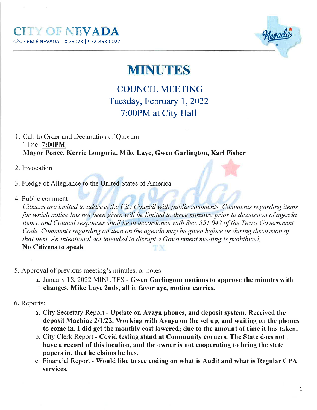

## **MINUTES**

## **COUNCIL MEETING** Tuesday, February l, 2022 7:00PM at City Hall

- 1. Call to Order and Declaration of Quorum Time: 7:00PM Mayor Ponce, Kerrie Longoria, Mike Laye, Gwen Garlington, Karl Fisher
- 2. Invocation
- 3. Pledge of Allegiance to the United States of America
- 4. Public comment

Citizens are invited to address the City Council with public comments. Comments regarding items for which notice has not been given will be limíted to three minutes, prior to discussion of agenda items, and Council responses shall be in accordance with Sec. 551.042 of the Texas Government Code. Comments regarding an item on the agenda may be given before or during discussion of that item. An intentional act intended to disrupt a Government meeting is prohibited. No Citizens to speak TХ

- 5. Approval of previous meeting's minutes, or notes.
	- a. January 18, 2022 MINUTES Gwen Garlington motions to approve the minutes with changes. Mike Laye 2nds, all in favor aye, motion carries.
- 6. Reports:
	- a. City Secretary Report Update on Avaya phones, and deposit system. Received the deposit Machine 2/1/22. Working with Avaya on the set up, and waiting on the phones to come in. I did get the monthly cost lowered; due to the amount of time it has taken.
	- b. City Clerk Report Covid testing stand at Community corners. The State does not have a record of this location, and the owner is not cooperating to bring the state papers in, that he claims he has.
	- c. Financial Report Would like to see coding on what is Audit and what is Regular CPA services.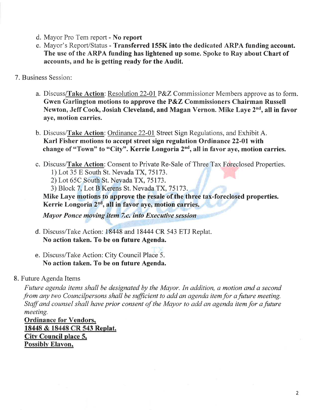- d. Mayor Pro Tem report No report
- e. Mayor's Report/Status Transferred 155K into the dedicated ARPA funding account. The use of the ARPA funding has lightened up some. Spoke to Ray about Chart of accounts, and he is getting ready for the Audit.
- 7. Business Session:
	- a. Discuss/Take Action: Resolution 22-01 P&Z Commissioner Members approve as to form. Gwen Garlington motions to approve the P&Z Commissioners Chairman Russell Newton, Jeff Cook, Josiah Cleveland, and Magan Vernon. Mike Laye 2<sup>nd</sup>, all in favor aye, motion carries.
	- b. Discuss/Take Action: Ordinance 22-01 Street Sign Regulations, and Exhibit A. Karl Fisher motions to accept street sign regulation Ordinance22-01with change of "Town" to "City". Kerrie Longoria  $2<sup>nd</sup>$ , all in favor aye, motion carries.
	- c. Discuss/Take Action: Consent to Private Re-Sale of Three Tax Foreclosed Properties.
		- 1) Lot 35 E South St. Nevada TX, 75173.
		- 2)Lot 65C South St. Nevada TX, 75173.
		- 3) Block 7, Lot B Kerens St. Nevada TX, 75173.

Mike Laye motions to approve the resale of the three tax-foreclosed properties. Kerrie Longoria 2<sup>nd</sup>, all in favor aye, motion carries.

Mayor Ponce moving item 7.c. into Executive session

- d. Discuss/Take Action: 18448 and 1 8444 CR 543 ETJ Replat. No action taken. To be on future Agenda.
- e. Discuss/Take Action: City Council Place 5. No action taken. To be on future Agenda.

## 8. Future Agenda Items

Future agenda items shall be designated by the Mayor. In addition, a motion and a second from any two Councilpersons shall be sufficient to add an agenda item for a future meeting. Staff and counsel shall have prior consent of the Mayor to add an agenda item for a future meeting.

Ordinance for Vendors, 18448 & 18448 CR 543 Replat. City Council place 5, Possibly Elavon,